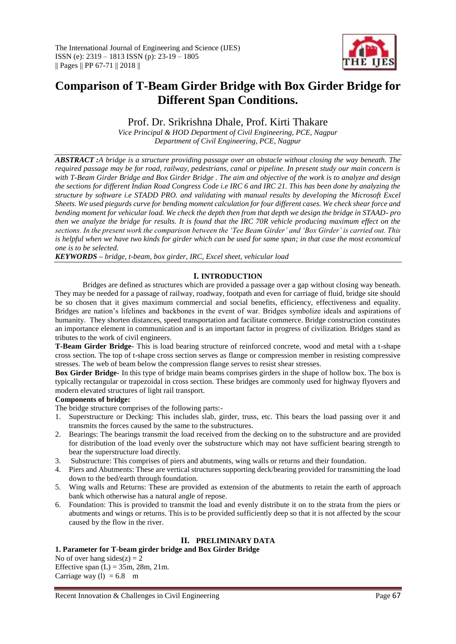

# **Comparison of T-Beam Girder Bridge with Box Girder Bridge for Different Span Conditions.**

### Prof. Dr. Srikrishna Dhale, Prof. Kirti Thakare

*Vice Principal & HOD Department of Civil Engineering, PCE, Nagpur Department of Civil Engineering, PCE, Nagpur*

*ABSTRACT :A bridge is a structure providing passage over an obstacle without closing the way beneath. The required passage may be for road, railway, pedestrians, canal or pipeline. In present study our main concern is with T-Beam Girder Bridge and Box Girder Bridge . The aim and objective of the work is to analyze and design the sections for different Indian Road Congress Code i.e IRC 6 and IRC 21. This has been done by analyzing the structure by software i.e STADD PRO. and validating with manual results by developing the Microsoft Excel Sheets. We used piegurds curve for bending moment calculation for four different cases. We check shear force and bending moment for vehicular load. We check the depth then from that depth we design the bridge in STAAD- pro then we analyze the bridge for results. It is found that the IRC 70R vehicle producing maximum effect on the sections. In the present work the comparison between the 'Tee Beam Girder' and 'Box Girder' is carried out. This is helpful when we have two kinds for girder which can be used for same span; in that case the most economical one is to be selected.*

*KEYWORDS – bridge, t-beam, box girder, IRC, Excel sheet, vehicular load*

#### **I. INTRODUCTION**

Bridges are defined as structures which are provided a passage over a gap without closing way beneath. They may be needed for a passage of railway, roadway, footpath and even for carriage of fluid, bridge site should be so chosen that it gives maximum commercial and social benefits, efficiency, effectiveness and equality. Bridges are nation's lifelines and backbones in the event of war. Bridges symbolize ideals and aspirations of humanity. They shorten distances, speed transportation and facilitate commerce. Bridge construction constitutes an importance element in communication and is an important factor in progress of civilization. Bridges stand as tributes to the work of civil engineers.

**T-Beam Girder Bridge-** This is load bearing structure of reinforced concrete, wood and metal with a t-shape cross section. The top of t-shape cross section serves as flange or compression member in resisting compressive stresses. The web of beam below the compression flange serves to resist shear stresses.

**Box Girder Bridge-** In this type of bridge main beams comprises girders in the shape of hollow box. The box is typically rectangular or trapezoidal in cross section. These bridges are commonly used for highway flyovers and modern elevated structures of light rail transport.

#### **Components of bridge:**

The bridge structure comprises of the following parts:-

- 1. Superstructure or Decking: This includes slab, girder, truss, etc. This bears the load passing over it and transmits the forces caused by the same to the substructures.
- 2. Bearings: The bearings transmit the load received from the decking on to the substructure and are provided for distribution of the load evenly over the substructure which may not have sufficient bearing strength to bear the superstructure load directly.
- 3. Substructure: This comprises of piers and abutments, wing walls or returns and their foundation.
- 4. Piers and Abutments: These are vertical structures supporting deck/bearing provided for transmitting the load down to the bed/earth through foundation.
- 5. Wing walls and Returns: These are provided as extension of the abutments to retain the earth of approach bank which otherwise has a natural angle of repose.
- 6. Foundation: This is provided to transmit the load and evenly distribute it on to the strata from the piers or abutments and wings or returns. This is to be provided sufficiently deep so that it is not affected by the scour caused by the flow in the river.

#### **II. PRELIMINARY DATA**

#### **1. Parameter for T-beam girder bridge and Box Girder Bridge**

No of over hang sides $(z) = 2$ Effective span  $(L) = 35m$ , 28m, 21m. Carriage way (1) =  $6.8 \text{ m}$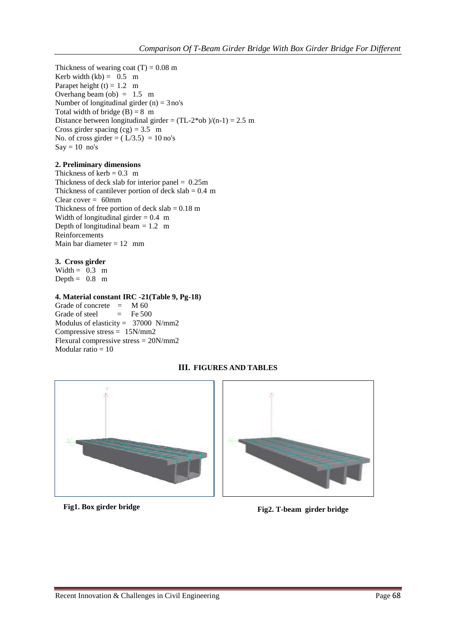Thickness of wearing coat  $(T) = 0.08$  m Kerb width  $(kb) = 0.5$  m Parapet height  $(t) = 1.2$  m Overhang beam  $(obj) = 1.5 \text{ m}$ Number of longitudinal girder  $(n) = 3$  no's Total width of bridge  $(B) = 8$  m Distance between longitudinal girder =  $(TL-2*ob)/(n-1) = 2.5 m$ Cross girder spacing  $(cg) = 3.5$  m No. of cross girder =  $(L/3.5) = 10$  no's  $Say = 10$  no's

#### **2. Preliminary dimensions**

Thickness of kerb  $= 0.3$  m Thickness of deck slab for interior panel  $= 0.25$ m Thickness of cantilever portion of deck  $slab = 0.4$  m Clear cover  $= 60$ mm Thickness of free portion of deck  $slab = 0.18$  m Width of longitudinal girder  $= 0.4$  m Depth of longitudinal beam  $= 1.2$  m Reinforcements Main bar diameter  $= 12$  mm

#### **3. Cross girder**

Width  $= 0.3$  m Depth  $= 0.8$  m

#### **4. Material constant IRC -21(Table 9, Pg-18)**

Grade of concrete  $= M 60$ <br>Grade of steel  $= F$ e 500 Grade of steel Modulus of elasticity =  $37000$  N/mm2 Compressive stress = 15N/mm2 Flexural compressive stress = 20N/mm2 Modular ratio  $= 10$ 

#### **III. FIGURES AND TABLES**





## **Fig1. Box girder bridge Fig2. T-beam girder bridge**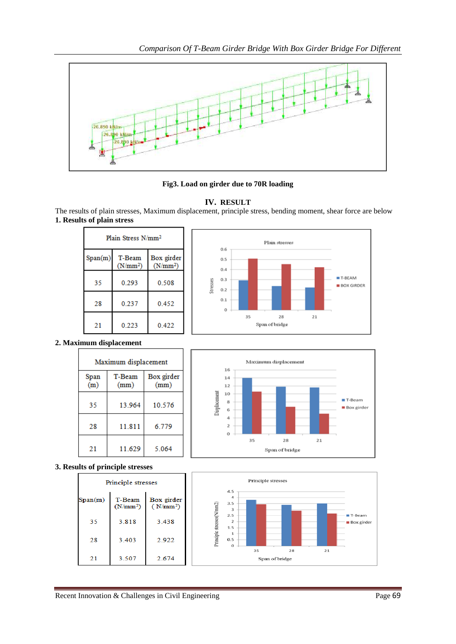

**Fig3. Load on girder due to 70R loading**

#### **IV. RESULT**

The results of plain stresses, Maximum displacement, principle stress, bending moment, shear force are below **1. Results of plain stress**

| Plain Stress N/mm <sup>2</sup> |                      |                          |
|--------------------------------|----------------------|--------------------------|
| Span(m)                        | T-Beam<br>$(N/mm^2)$ | Box girder<br>$(N/mm^2)$ |
| 35                             | 0.293                | 0.508                    |
| 28                             | 0.237                | 0.452                    |
| 21                             | 0.223                | 0.422                    |

٦



#### **2. Maximum displacement**

| Maximum displacement |                |                    |  |
|----------------------|----------------|--------------------|--|
| Span<br>(m)          | T-Beam<br>(mm) | Box girder<br>(mm) |  |
| 35                   | 13.964         | 10.576             |  |
| 28                   | 11.811         | 6.779              |  |
| 21                   | 11.629         | 5.064              |  |



#### **3. Results of principle stresses**

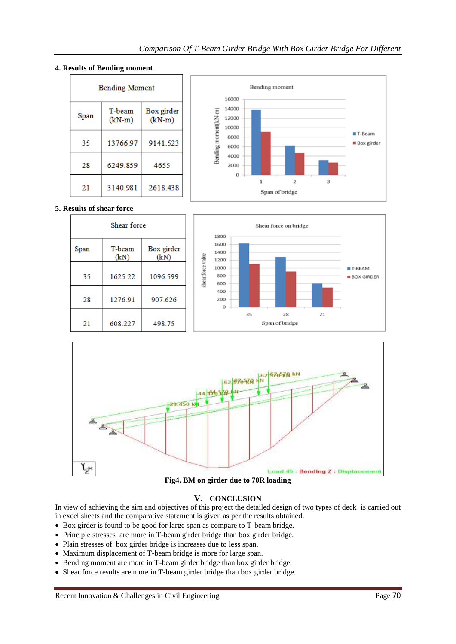#### Bending moment **Bending Moment** 16000 14000 T-beam Box girder Bending moment(kN-m) Span 12000  $(kN-m)$  $(kN-m)$ 10000 T-Beam 8000 35 13766.97 9141.523 **Box** girder 6000 4000 28 6249.859 4655 2000  $\Omega$  $\overline{1}$  $\overline{a}$  $\overline{3}$ 21 3140.981 2618.438 Span of bridge

#### **4. Results of Bending moment**

#### **5. Results of shear force**





**Fig4. BM on girder due to 70R loading**

#### **V. CONCLUSION**

In view of achieving the aim and objectives of this project the detailed design of two types of deck is carried out in excel sheets and the comparative statement is given as per the results obtained.

- Box girder is found to be good for large span as compare to T-beam bridge.
- Principle stresses are more in T-beam girder bridge than box girder bridge.
- Plain stresses of box girder bridge is increases due to less span.
- Maximum displacement of T-beam bridge is more for large span.
- Bending moment are more in T-beam girder bridge than box girder bridge.
- Shear force results are more in T-beam girder bridge than box girder bridge.